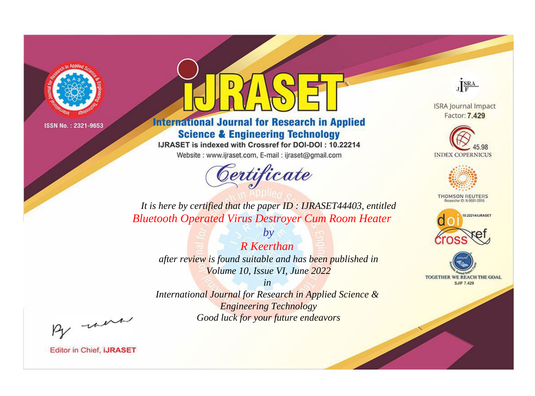

# **International Journal for Research in Applied Science & Engineering Technology**

IJRASET is indexed with Crossref for DOI-DOI: 10.22214

Website: www.ijraset.com, E-mail: ijraset@gmail.com



JERA

**ISRA Journal Impact** Factor: 7.429





**THOMSON REUTERS** 



TOGETHER WE REACH THE GOAL **SJIF 7.429** 

*It is here by certified that the paper ID : IJRASET44403, entitled Bluetooth Operated Virus Destroyer Cum Room Heater*

*R Keerthan after review is found suitable and has been published in Volume 10, Issue VI, June 2022*

*by*

*in* 

*International Journal for Research in Applied Science & Engineering Technology Good luck for your future endeavors*

By morn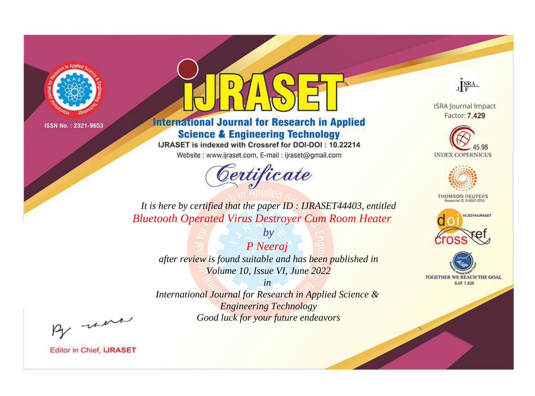

# **International Journal for Research in Applied Science & Engineering Technology**

IJRASET is indexed with Crossref for DOI-DOI: 10.22214

Website: www.ijraset.com, E-mail: ijraset@gmail.com



JERA

**ISRA Journal Impact** Factor: 7.429





**THOMSON REUTERS** 



TOGETHER WE REACH THE GOAL **SJIF 7.429** 

*It is here by certified that the paper ID : IJRASET44403, entitled Bluetooth Operated Virus Destroyer Cum Room Heater*

*P Neeraj after review is found suitable and has been published in Volume 10, Issue VI, June 2022*

*by*

*in* 

*International Journal for Research in Applied Science & Engineering Technology Good luck for your future endeavors*

By morn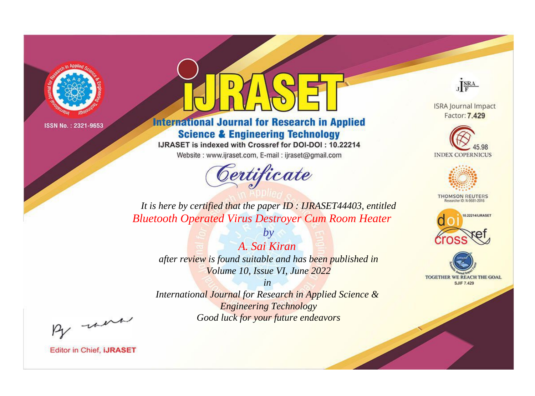

# **International Journal for Research in Applied Science & Engineering Technology**

IJRASET is indexed with Crossref for DOI-DOI: 10.22214

Website: www.ijraset.com, E-mail: ijraset@gmail.com



JERA

**ISRA Journal Impact** Factor: 7.429





**THOMSON REUTERS** 



TOGETHER WE REACH THE GOAL **SJIF 7.429** 

*It is here by certified that the paper ID : IJRASET44403, entitled Bluetooth Operated Virus Destroyer Cum Room Heater*

*A. Sai Kiran after review is found suitable and has been published in Volume 10, Issue VI, June 2022*

*by*

*in* 

*International Journal for Research in Applied Science & Engineering Technology Good luck for your future endeavors*

By morn